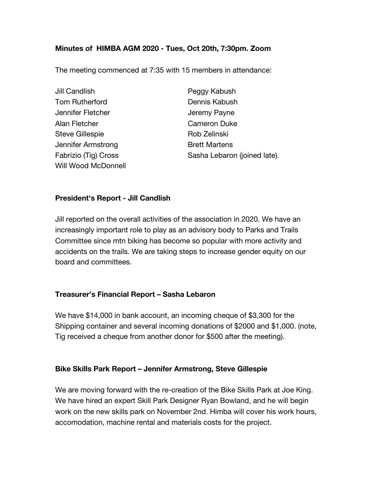# **Minutes of HIMBA AGM 2020 - Tues, Oct 20th, 7:30pm. Zoom**

The meeting commenced at 7:35 with 15 members in attendance:

Jill Candlish Peggy Kabush **Tom Rutherford Communis Communis Kabush** Jennifer Fletcher **Jeremy Payne** Alan Fletcher Cameron Duke Steve Gillespie **Rob Zelinski** Jennifer Armstrong The Real Brett Martens Will Wood McDonnell

Fabrizio (Tig) Cross Sasha Lebaron (joined late).

### **President's Report - Jill Candlish**

Jill reported on the overall activities of the association in 2020. We have an increasingly important role to play as an advisory body to Parks and Trails Committee since mtn biking has become so popular with more activity and accidents on the trails. We are taking steps to increase gender equity on our board and committees.

#### **Treasurer's Financial Report – Sasha Lebaron**

We have \$14,000 in bank account, an incoming cheque of \$3,300 for the Shipping container and several incoming donations of \$2000 and \$1,000. (note, Tig received a cheque from another donor for \$500 after the meeting).

# **Bike Skills Park Report – Jennifer Armstrong, Steve Gillespie**

We are moving forward with the re-creation of the Bike Skills Park at Joe King. We have hired an expert Skill Park Designer Ryan Bowland, and he will begin work on the new skills park on November 2nd. Himba will cover his work hours, accomodation, machine rental and materials costs for the project.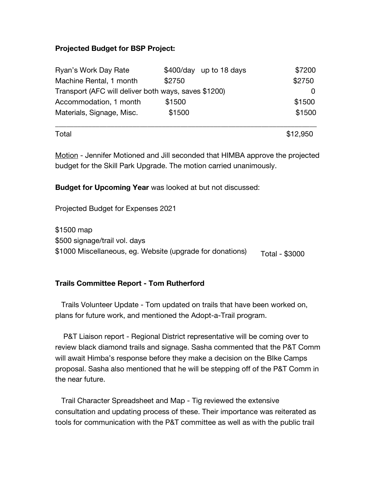### **Projected Budget for BSP Project:**

| Ryan's Work Day Rate                                 |        | \$400/day up to 18 days | \$7200 |
|------------------------------------------------------|--------|-------------------------|--------|
| Machine Rental, 1 month                              | \$2750 |                         | \$2750 |
| Transport (AFC will deliver both ways, saves \$1200) |        |                         |        |
| Accommodation, 1 month                               | \$1500 |                         | \$1500 |
| Materials, Signage, Misc.                            | \$1500 |                         | \$1500 |

\_\_\_\_\_\_\_\_\_\_\_\_\_\_\_\_\_\_\_\_\_\_\_\_\_\_\_\_\_\_\_\_\_\_\_\_\_\_\_\_\_\_\_\_\_\_\_\_\_\_\_\_\_\_\_\_\_\_\_\_\_\_\_\_\_\_\_\_\_\_\_

 $\textsf{Total}$   $\$12,950$ 

Motion - Jennifer Motioned and Jill seconded that HIMBA approve the projected budget for the Skill Park Upgrade. The motion carried unanimously.

**Budget for Upcoming Year** was looked at but not discussed:

Projected Budget for Expenses 2021

Total - \$3000 \$1500 map \$500 signage/trail vol. days \$1000 Miscellaneous, eg. Website (upgrade for donations)

# **Trails Committee Report - Tom Rutherford**

 Trails Volunteer Update - Tom updated on trails that have been worked on, plans for future work, and mentioned the Adopt-a-Trail program.

 P&T Liaison report - Regional District representative will be coming over to review black diamond trails and signage. Sasha commented that the P&T Comm will await Himba's response before they make a decision on the BIke Camps proposal. Sasha also mentioned that he will be stepping off of the P&T Comm in the near future.

 Trail Character Spreadsheet and Map - Tig reviewed the extensive consultation and updating process of these. Their importance was reiterated as tools for communication with the P&T committee as well as with the public trail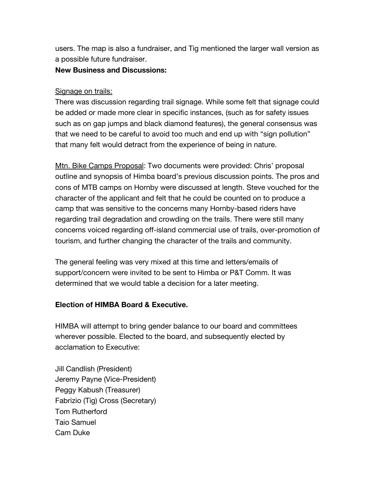users. The map is also a fundraiser, and Tig mentioned the larger wall version as a possible future fundraiser.

### **New Business and Discussions:**

### Signage on trails:

There was discussion regarding trail signage. While some felt that signage could be added or made more clear in specific instances, (such as for safety issues such as on gap jumps and black diamond features), the general consensus was that we need to be careful to avoid too much and end up with "sign pollution" that many felt would detract from the experience of being in nature.

Mtn. Bike Camps Proposal: Two documents were provided: Chris' proposal outline and synopsis of Himba board's previous discussion points. The pros and cons of MTB camps on Hornby were discussed at length. Steve vouched for the character of the applicant and felt that he could be counted on to produce a camp that was sensitive to the concerns many Hornby-based riders have regarding trail degradation and crowding on the trails. There were still many concerns voiced regarding off-island commercial use of trails, over-promotion of tourism, and further changing the character of the trails and community.

The general feeling was very mixed at this time and letters/emails of support/concern were invited to be sent to Himba or P&T Comm. It was determined that we would table a decision for a later meeting.

# **Election of HIMBA Board & Executive.**

HIMBA will attempt to bring gender balance to our board and committees wherever possible. Elected to the board, and subsequently elected by acclamation to Executive:

Jill Candlish (President) Jeremy Payne (Vice-President) Peggy Kabush (Treasurer) Fabrizio (Tig) Cross (Secretary) Tom Rutherford Taio Samuel Cam Duke